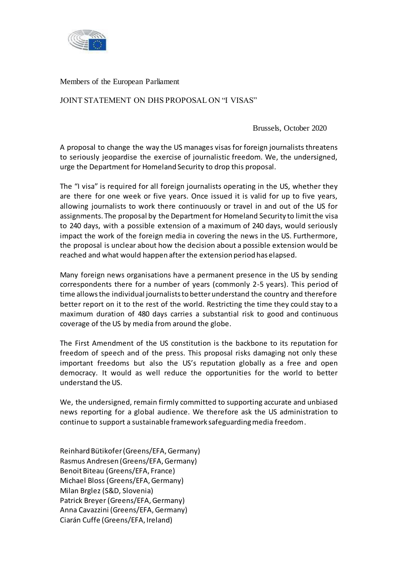

Members of the European Parliament

JOINT STATEMENT ON DHS PROPOSAL ON "I VISAS"

Brussels, October 2020

A proposal to change the way the US manages visas for foreign journalists threatens to seriously jeopardise the exercise of journalistic freedom. We, the undersigned, urge the Department for Homeland Security to drop this proposal.

The "I visa" is required for all foreign journalists operating in the US, whether they are there for one week or five years. Once issued it is valid for up to five years, allowing journalists to work there continuously or travel in and out of the US for assignments. The proposal by the Department for Homeland Security to limit the visa to 240 days, with a possible extension of a maximum of 240 days, would seriously impact the work of the foreign media in covering the news in the US. Furthermore, the proposal is unclear about how the decision about a possible extension would be reached and what would happen after the extension period has elapsed.

Many foreign news organisations have a permanent presence in the US by sending correspondents there for a number of years (commonly 2-5 years). This period of time allows the individual journalists to better understand the country and therefore better report on it to the rest of the world. Restricting the time they could stay to a maximum duration of 480 days carries a substantial risk to good and continuous coverage of the US by media from around the globe.

The First Amendment of the US constitution is the backbone to its reputation for freedom of speech and of the press. This proposal risks damaging not only these important freedoms but also the US's reputation globally as a free and open democracy. It would as well reduce the opportunities for the world to better understand the US.

We, the undersigned, remain firmly committed to supporting accurate and unbiased news reporting for a global audience. We therefore ask the US administration to continue to support a sustainable framework safeguarding media freedom.

Reinhard Bütikofer (Greens/EFA, Germany) Rasmus Andresen (Greens/EFA, Germany) Benoit Biteau (Greens/EFA, France) Michael Bloss (Greens/EFA, Germany) Milan Brglez (S&D, Slovenia) Patrick Breyer (Greens/EFA, Germany) Anna Cavazzini (Greens/EFA, Germany) Ciarán Cuffe (Greens/EFA, Ireland)